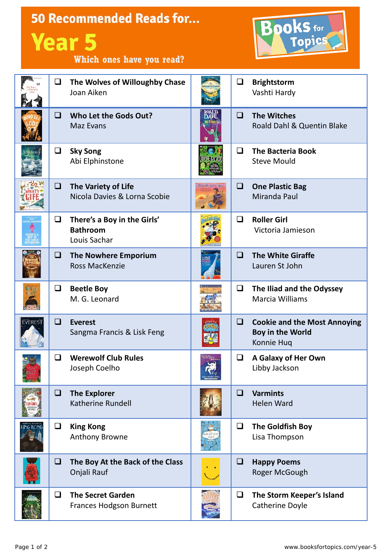|                |        | <b>50 Recommended Reads for</b><br><b>Year 5</b><br>Which ones have you read? | <b>Books</b> for      |        |                                                                              |
|----------------|--------|-------------------------------------------------------------------------------|-----------------------|--------|------------------------------------------------------------------------------|
|                | Q      | The Wolves of Willoughby Chase<br>Joan Aiken                                  |                       | $\Box$ | <b>Brightstorm</b><br>Vashti Hardy                                           |
|                | □      | Who Let the Gods Out?<br><b>Maz Evans</b>                                     | DAHI                  | $\Box$ | <b>The Witches</b><br>Roald Dahl & Quentin Blake                             |
|                | ❏      | <b>Sky Song</b><br>Abi Elphinstone                                            | acteric               | ◻      | <b>The Bacteria Book</b><br><b>Steve Mould</b>                               |
|                | Q.     | The Variety of Life<br>Nicola Davies & Lorna Scobie                           | <b>ONE PLASTIC BA</b> | Q      | <b>One Plastic Bag</b><br>Miranda Paul                                       |
|                | ❏      | There's a Boy in the Girls'<br><b>Bathroom</b><br>Louis Sachar                |                       | $\Box$ | <b>Roller Girl</b><br>Victoria Jamieson                                      |
|                | O      | <b>The Nowhere Emporium</b><br><b>Ross MacKenzie</b>                          |                       | □      | <b>The White Giraffe</b><br>Lauren St John                                   |
|                | ❏      | <b>Beetle Boy</b><br>M. G. Leonard                                            |                       | ❏      | The Iliad and the Odyssey<br>Marcia Williams                                 |
| <b>EVEREST</b> | ப      | <b>Everest</b><br>Sangma Francis & Lisk Feng                                  |                       | ப      | <b>Cookie and the Most Annoying</b><br><b>Boy in the World</b><br>Konnie Huq |
|                | $\Box$ | <b>Werewolf Club Rules</b><br>Joseph Coelho                                   |                       | ❏      | A Galaxy of Her Own<br>Libby Jackson                                         |
|                | $\Box$ | <b>The Explorer</b><br>Katherine Rundell                                      |                       | O      | <b>Varmints</b><br><b>Helen Ward</b>                                         |
|                | $\Box$ | <b>King Kong</b><br>Anthony Browne                                            |                       | $\Box$ | The Goldfish Boy<br>Lisa Thompson                                            |
|                | ⊔      | The Boy At the Back of the Class<br>Onjali Rauf                               |                       | ⊔      | <b>Happy Poems</b><br>Roger McGough                                          |
|                | $\Box$ | <b>The Secret Garden</b><br><b>Frances Hodgson Burnett</b>                    |                       | ❏      | The Storm Keeper's Island<br>Catherine Doyle                                 |